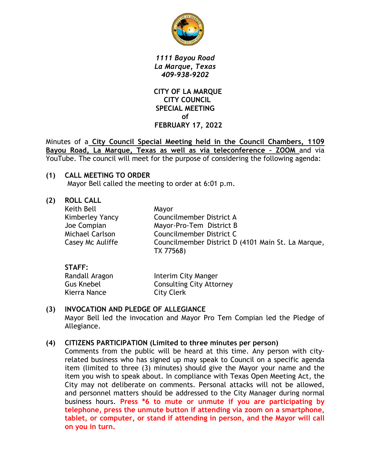

*1111 Bayou Road La Marque, Texas 409-938-9202*

 **CITY OF LA MARQUE CITY COUNCIL SPECIAL MEETING of FEBRUARY 17, 2022**

Minutes of a **City Council Special Meeting held in the Council Chambers, 1109 Bayou Road, La Marque, Texas as well as via teleconference – ZOOM** and via YouTube. The council will meet for the purpose of considering the following agenda:

## **(1) CALL MEETING TO ORDER**

Mayor Bell called the meeting to order at 6:01 p.m.

**(2) ROLL CALL**

| Keith Bell<br>Kimberley Yancy<br>Joe Compian<br><b>Michael Carlson</b><br>Casey Mc Auliffe | Mayor<br>Councilmember District A<br>Mayor-Pro-Tem District B<br>Councilmember District C<br>Councilmember District D (4101 Main St. La Marque,<br>TX 77568) |
|--------------------------------------------------------------------------------------------|--------------------------------------------------------------------------------------------------------------------------------------------------------------|
|--------------------------------------------------------------------------------------------|--------------------------------------------------------------------------------------------------------------------------------------------------------------|

#### **STAFF:**

| Randall Aragon    | Interim City Manger             |
|-------------------|---------------------------------|
| <b>Gus Knebel</b> | <b>Consulting City Attorney</b> |
| Kierra Nance      | <b>City Clerk</b>               |

## **(3) INVOCATION AND PLEDGE OF ALLEGIANCE**

Mayor Bell led the invocation and Mayor Pro Tem Compian led the Pledge of Allegiance.

## **(4) CITIZENS PARTICIPATION (Limited to three minutes per person)**

Comments from the public will be heard at this time. Any person with cityrelated business who has signed up may speak to Council on a specific agenda item (limited to three (3) minutes) should give the Mayor your name and the item you wish to speak about. In compliance with Texas Open Meeting Act, the City may not deliberate on comments. Personal attacks will not be allowed, and personnel matters should be addressed to the City Manager during normal business hours. **Press \*6 to mute or unmute if you are participating by telephone, press the unmute button if attending via zoom on a smartphone, tablet, or computer, or stand if attending in person, and the Mayor will call on you in turn.**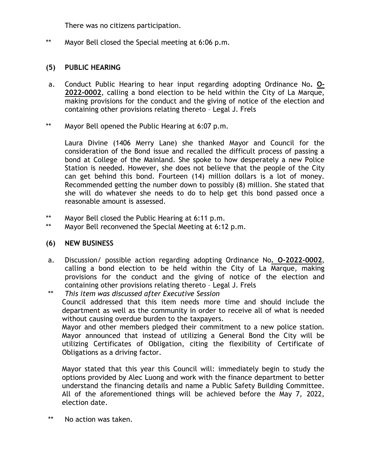There was no citizens participation.

\*\* Mayor Bell closed the Special meeting at 6:06 p.m.

### **(5) PUBLIC HEARING**

- a. Conduct Public Hearing to hear input regarding adopting Ordinance No**. O-2022-0002**, calling a bond election to be held within the City of La Marque, making provisions for the conduct and the giving of notice of the election and containing other provisions relating thereto – Legal J. Frels
- \*\* Mayor Bell opened the Public Hearing at 6:07 p.m.

Laura Divine (1406 Merry Lane) she thanked Mayor and Council for the consideration of the Bond issue and recalled the difficult process of passing a bond at College of the Mainland. She spoke to how desperately a new Police Station is needed. However, she does not believe that the people of the City can get behind this bond. Fourteen (14) million dollars is a lot of money. Recommended getting the number down to possibly (8) million. She stated that she will do whatever she needs to do to help get this bond passed once a reasonable amount is assessed.

- \*\* Mayor Bell closed the Public Hearing at 6:11 p.m.
- \*\* Mayor Bell reconvened the Special Meeting at 6:12 p.m.

#### **(6) NEW BUSINESS**

- a. Discussion/ possible action regarding adopting Ordinance No**. O-2022-0002**, calling a bond election to be held within the City of La Marque, making provisions for the conduct and the giving of notice of the election and containing other provisions relating thereto – Legal J. Frels
- \*\* *This item was discussed after Executive Session* Council addressed that this item needs more time and should include the department as well as the community in order to receive all of what is needed without causing overdue burden to the taxpayers. Mayor and other members pledged their commitment to a new police station. Mayor announced that instead of utilizing a General Bond the City will be

utilizing Certificates of Obligation, citing the flexibility of Certificate of Obligations as a driving factor.

Mayor stated that this year this Council will: immediately begin to study the options provided by Alec Luong and work with the finance department to better understand the financing details and name a Public Safety Building Committee. All of the aforementioned things will be achieved before the May 7, 2022, election date.

\*\* No action was taken.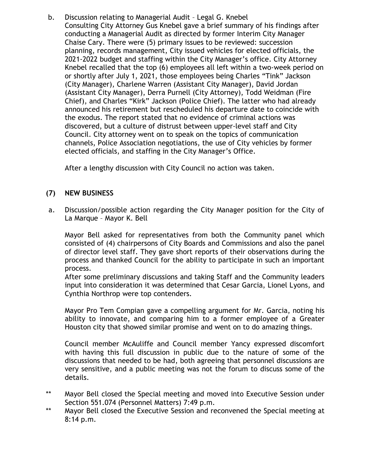b. Discussion relating to Managerial Audit – Legal G. Knebel Consulting City Attorney Gus Knebel gave a brief summary of his findings after conducting a Managerial Audit as directed by former Interim City Manager Chaise Cary. There were (5) primary issues to be reviewed: succession planning, records management, City issued vehicles for elected officials, the 2021-2022 budget and staffing within the City Manager's office. City Attorney Knebel recalled that the top (6) employees all left within a two-week period on or shortly after July 1, 2021, those employees being Charles "Tink" Jackson (City Manager), Charlene Warren (Assistant City Manager), David Jordan (Assistant City Manager), Derra Purnell (City Attorney), Todd Weidman (Fire Chief), and Charles "Kirk" Jackson (Police Chief). The latter who had already announced his retirement but rescheduled his departure date to coincide with the exodus. The report stated that no evidence of criminal actions was discovered, but a culture of distrust between upper-level staff and City Council. City attorney went on to speak on the topics of communication channels, Police Association negotiations, the use of City vehicles by former elected officials, and staffing in the City Manager's Office.

After a lengthy discussion with City Council no action was taken.

# **(7) NEW BUSINESS**

a. Discussion/possible action regarding the City Manager position for the City of La Marque – Mayor K. Bell

Mayor Bell asked for representatives from both the Community panel which consisted of (4) chairpersons of City Boards and Commissions and also the panel of director level staff. They gave short reports of their observations during the process and thanked Council for the ability to participate in such an important process.

After some preliminary discussions and taking Staff and the Community leaders input into consideration it was determined that Cesar Garcia, Lionel Lyons, and Cynthia Northrop were top contenders.

Mayor Pro Tem Compian gave a compelling argument for Mr. Garcia, noting his ability to innovate, and comparing him to a former employee of a Greater Houston city that showed similar promise and went on to do amazing things.

Council member McAuliffe and Council member Yancy expressed discomfort with having this full discussion in public due to the nature of some of the discussions that needed to be had, both agreeing that personnel discussions are very sensitive, and a public meeting was not the forum to discuss some of the details.

- \*\* Mayor Bell closed the Special meeting and moved into Executive Session under Section 551.074 (Personnel Matters) 7:49 p.m.
- \*\* Mayor Bell closed the Executive Session and reconvened the Special meeting at 8:14 p.m.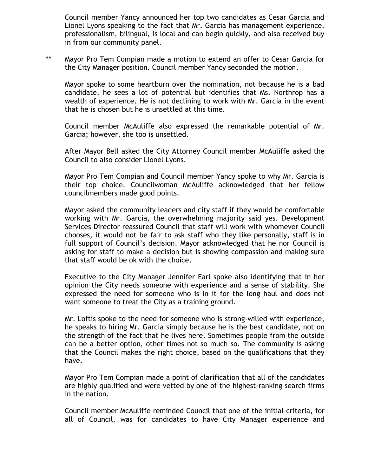Council member Yancy announced her top two candidates as Cesar Garcia and Lionel Lyons speaking to the fact that Mr. Garcia has management experience, professionalism, bilingual, is local and can begin quickly, and also received buy in from our community panel.

\*\* Mayor Pro Tem Compian made a motion to extend an offer to Cesar Garcia for the City Manager position. Council member Yancy seconded the motion.

Mayor spoke to some heartburn over the nomination, not because he is a bad candidate, he sees a lot of potential but identifies that Ms. Northrop has a wealth of experience. He is not declining to work with Mr. Garcia in the event that he is chosen but he is unsettled at this time.

Council member McAuliffe also expressed the remarkable potential of Mr. Garcia; however, she too is unsettled.

After Mayor Bell asked the City Attorney Council member McAuliffe asked the Council to also consider Lionel Lyons.

Mayor Pro Tem Compian and Council member Yancy spoke to why Mr. Garcia is their top choice. Councilwoman McAuliffe acknowledged that her fellow councilmembers made good points.

Mayor asked the community leaders and city staff if they would be comfortable working with Mr. Garcia, the overwhelming majority said yes. Development Services Director reassured Council that staff will work with whomever Council chooses, it would not be fair to ask staff who they like personally, staff is in full support of Council's decision. Mayor acknowledged that he nor Council is asking for staff to make a decision but is showing compassion and making sure that staff would be ok with the choice.

Executive to the City Manager Jennifer Earl spoke also identifying that in her opinion the City needs someone with experience and a sense of stability. She expressed the need for someone who is in it for the long haul and does not want someone to treat the City as a training ground.

Mr. Loftis spoke to the need for someone who is strong-willed with experience, he speaks to hiring Mr. Garcia simply because he is the best candidate, not on the strength of the fact that he lives here. Sometimes people from the outside can be a better option, other times not so much so. The community is asking that the Council makes the right choice, based on the qualifications that they have.

Mayor Pro Tem Compian made a point of clarification that all of the candidates are highly qualified and were vetted by one of the highest-ranking search firms in the nation.

Council member McAuliffe reminded Council that one of the initial criteria, for all of Council, was for candidates to have City Manager experience and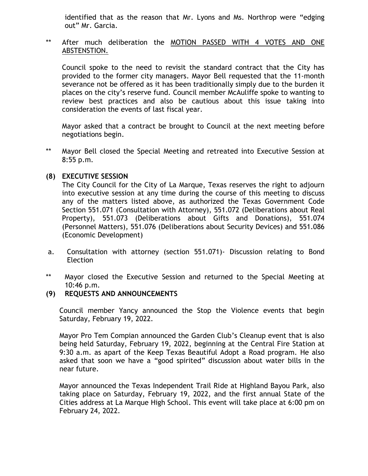identified that as the reason that Mr. Lyons and Ms. Northrop were "edging out" Mr. Garcia.

#### \*\* After much deliberation the MOTION PASSED WITH 4 VOTES AND ONE ABSTENSTION.

Council spoke to the need to revisit the standard contract that the City has provided to the former city managers. Mayor Bell requested that the 11-month severance not be offered as it has been traditionally simply due to the burden it places on the city's reserve fund. Council member McAuliffe spoke to wanting to review best practices and also be cautious about this issue taking into consideration the events of last fiscal year.

Mayor asked that a contract be brought to Council at the next meeting before negotiations begin.

\*\* Mayor Bell closed the Special Meeting and retreated into Executive Session at 8:55 p.m.

## **(8) EXECUTIVE SESSION**

The City Council for the City of La Marque, Texas reserves the right to adjourn into executive session at any time during the course of this meeting to discuss any of the matters listed above, as authorized the Texas Government Code Section 551.071 (Consultation with Attorney), 551.072 (Deliberations about Real Property), 551.073 (Deliberations about Gifts and Donations), 551.074 (Personnel Matters), 551.076 (Deliberations about Security Devices) and 551.086 (Economic Development)

- a. Consultation with attorney (section 551.071)- Discussion relating to Bond Election
- \*\* Mayor closed the Executive Session and returned to the Special Meeting at 10:46 p.m.
- **(9) REQUESTS AND ANNOUNCEMENTS**

Council member Yancy announced the Stop the Violence events that begin Saturday, February 19, 2022.

Mayor Pro Tem Compian announced the Garden Club's Cleanup event that is also being held Saturday, February 19, 2022, beginning at the Central Fire Station at 9:30 a.m. as apart of the Keep Texas Beautiful Adopt a Road program. He also asked that soon we have a "good spirited" discussion about water bills in the near future.

Mayor announced the Texas Independent Trail Ride at Highland Bayou Park, also taking place on Saturday, February 19, 2022, and the first annual State of the Cities address at La Marque High School. This event will take place at 6:00 pm on February 24, 2022.